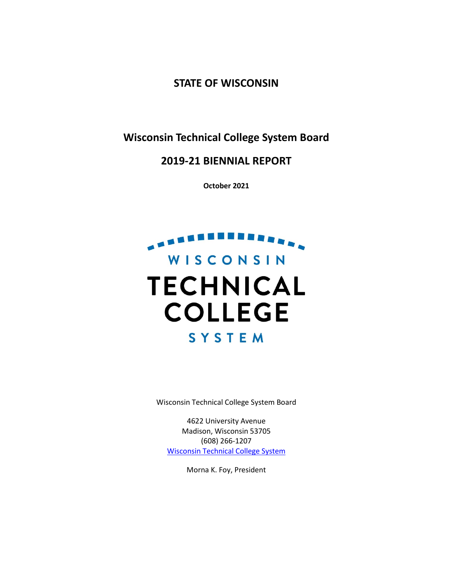**STATE OF WISCONSIN**

**Wisconsin Technical College System Board**

**2019-21 BIENNIAL REPORT**

**October 2021**

# . . . . . . . . . . . WISCONSIN **TECHNICAL COLLEGE SYSTEM**

Wisconsin Technical College System Board

4622 University Avenue Madison, Wisconsin 53705 (608) 266-1207 [Wisconsin Technical College System](http://www.wtcsystem.edu/) 

Morna K. Foy, President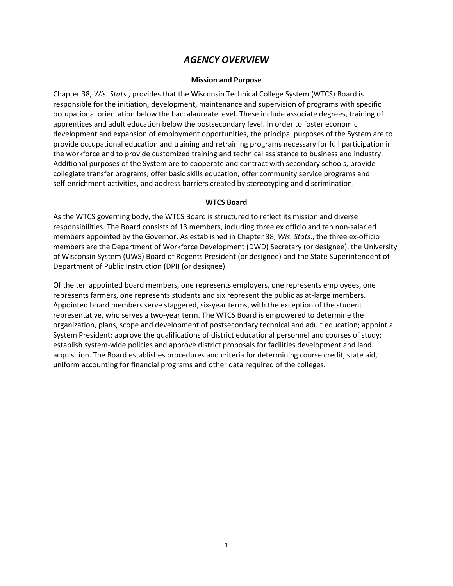# *AGENCY OVERVIEW*

#### **Mission and Purpose**

Chapter 38, *Wis. Stats.*, provides that the Wisconsin Technical College System (WTCS) Board is responsible for the initiation, development, maintenance and supervision of programs with specific occupational orientation below the baccalaureate level. These include associate degrees, training of apprentices and adult education below the postsecondary level. In order to foster economic development and expansion of employment opportunities, the principal purposes of the System are to provide occupational education and training and retraining programs necessary for full participation in the workforce and to provide customized training and technical assistance to business and industry. Additional purposes of the System are to cooperate and contract with secondary schools, provide collegiate transfer programs, offer basic skills education, offer community service programs and self-enrichment activities, and address barriers created by stereotyping and discrimination.

#### **WTCS Board**

As the WTCS governing body, the WTCS Board is structured to reflect its mission and diverse responsibilities. The Board consists of 13 members, including three ex officio and ten non-salaried members appointed by the Governor. As established in Chapter 38, *Wis. Stats*., the three ex-officio members are the Department of Workforce Development (DWD) Secretary (or designee), the University of Wisconsin System (UWS) Board of Regents President (or designee) and the State Superintendent of Department of Public Instruction (DPI) (or designee).

Of the ten appointed board members, one represents employers, one represents employees, one represents farmers, one represents students and six represent the public as at-large members. Appointed board members serve staggered, six-year terms, with the exception of the student representative, who serves a two-year term. The WTCS Board is empowered to determine the organization, plans, scope and development of postsecondary technical and adult education; appoint a System President; approve the qualifications of district educational personnel and courses of study; establish system-wide policies and approve district proposals for facilities development and land acquisition. The Board establishes procedures and criteria for determining course credit, state aid, uniform accounting for financial programs and other data required of the colleges.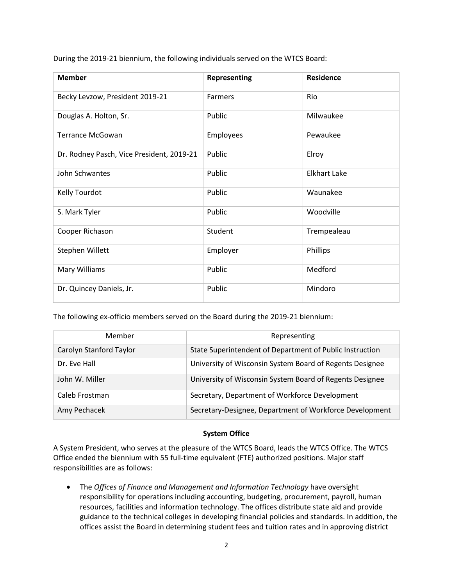During the 2019-21 biennium, the following individuals served on the WTCS Board:

| <b>Member</b>                             | Representing   | <b>Residence</b>    |
|-------------------------------------------|----------------|---------------------|
| Becky Levzow, President 2019-21           | <b>Farmers</b> | Rio                 |
| Douglas A. Holton, Sr.                    | Public         | Milwaukee           |
| <b>Terrance McGowan</b>                   | Employees      | Pewaukee            |
| Dr. Rodney Pasch, Vice President, 2019-21 | Public         | Elroy               |
| John Schwantes                            | Public         | <b>Elkhart Lake</b> |
| Kelly Tourdot                             | Public         | Waunakee            |
| S. Mark Tyler                             | Public         | Woodville           |
| Cooper Richason                           | Student        | Trempealeau         |
| Stephen Willett                           | Employer       | Phillips            |
| Mary Williams                             | Public         | Medford             |
| Dr. Quincey Daniels, Jr.                  | Public         | Mindoro             |

The following ex-officio members served on the Board during the 2019-21 biennium:

| Member                  | Representing                                             |
|-------------------------|----------------------------------------------------------|
| Carolyn Stanford Taylor | State Superintendent of Department of Public Instruction |
| Dr. Eve Hall            | University of Wisconsin System Board of Regents Designee |
| John W. Miller          | University of Wisconsin System Board of Regents Designee |
| Caleb Frostman          | Secretary, Department of Workforce Development           |
| Amy Pechacek            | Secretary-Designee, Department of Workforce Development  |

#### **System Office**

A System President, who serves at the pleasure of the WTCS Board, leads the WTCS Office. The WTCS Office ended the biennium with 55 full-time equivalent (FTE) authorized positions. Major staff responsibilities are as follows:

• The *Offices of Finance and Management and Information Technology* have oversight responsibility for operations including accounting, budgeting, procurement, payroll, human resources, facilities and information technology. The offices distribute state aid and provide guidance to the technical colleges in developing financial policies and standards. In addition, the offices assist the Board in determining student fees and tuition rates and in approving district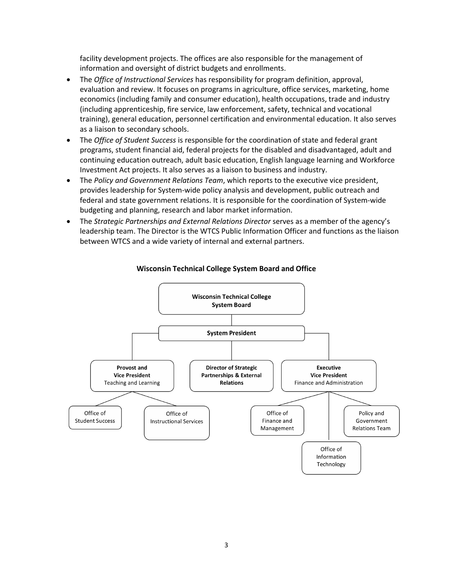facility development projects. The offices are also responsible for the management of information and oversight of district budgets and enrollments.

- The *Office of Instructional Services* has responsibility for program definition, approval, evaluation and review. It focuses on programs in agriculture, office services, marketing, home economics (including family and consumer education), health occupations, trade and industry (including apprenticeship, fire service, law enforcement, safety, technical and vocational training), general education, personnel certification and environmental education. It also serves as a liaison to secondary schools.
- The *Office of Student Success* is responsible for the coordination of state and federal grant programs, student financial aid, federal projects for the disabled and disadvantaged, adult and continuing education outreach, adult basic education, English language learning and Workforce Investment Act projects. It also serves as a liaison to business and industry.
- The *Policy and Government Relations Team*, which reports to the executive vice president, provides leadership for System-wide policy analysis and development, public outreach and federal and state government relations. It is responsible for the coordination of System-wide budgeting and planning, research and labor market information.
- The *Strategic Partnerships and External Relations Director* serves as a member of the agency's leadership team. The Director is the WTCS Public Information Officer and functions as the liaison between WTCS and a wide variety of internal and external partners.



## **Wisconsin Technical College System Board and Office**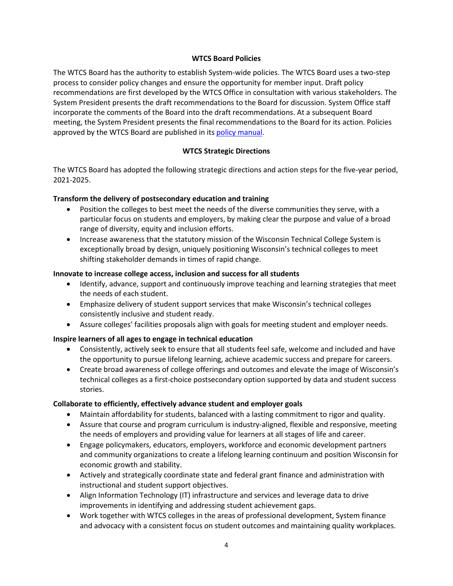#### **WTCS Board Policies**

The WTCS Board has the authority to establish System-wide policies. The WTCS Board uses a two-step process to consider policy changes and ensure the opportunity for member input. Draft policy recommendations are first developed by the WTCS Office in consultation with various stakeholders. The System President presents the draft recommendations to the Board for discussion. System Office staff incorporate the comments of the Board into the draft recommendations. At a subsequent Board meeting, the System President presents the final recommendations to the Board for its action. Policies approved by the WTCS Board are published in it[s policy manual.](https://www.wtcsystem.edu/about/wtcs-board/board-policies/)

## **WTCS Strategic Directions**

The WTCS Board has adopted the following strategic directions and action steps for the five-year period, 2021-2025.

## **Transform the delivery of postsecondary education and training**

- Position the colleges to best meet the needs of the diverse communities they serve, with a particular focus on students and employers, by making clear the purpose and value of a broad range of diversity, equity and inclusion efforts.
- Increase awareness that the statutory mission of the Wisconsin Technical College System is exceptionally broad by design, uniquely positioning Wisconsin's technical colleges to meet shifting stakeholder demands in times of rapid change.

#### **Innovate to increase college access, inclusion and success for all students**

- Identify, advance, support and continuously improve teaching and learning strategies that meet the needs of each student.
- Emphasize delivery of student support services that make Wisconsin's technical colleges consistently inclusive and student ready.
- Assure colleges' facilities proposals align with goals for meeting student and employer needs.

#### **Inspire learners of all ages to engage in technical education**

- Consistently, actively seek to ensure that all students feel safe, welcome and included and have the opportunity to pursue lifelong learning, achieve academic success and prepare for careers.
- Create broad awareness of college offerings and outcomes and elevate the image of Wisconsin's technical colleges as a first-choice postsecondary option supported by data and student success stories.

#### **Collaborate to efficiently, effectively advance student and employer goals**

- Maintain affordability for students, balanced with a lasting commitment to rigor and quality.
- Assure that course and program curriculum is industry-aligned, flexible and responsive, meeting the needs of employers and providing value for learners at all stages of life and career.
- Engage policymakers, educators, employers, workforce and economic development partners and community organizations to create a lifelong learning continuum and position Wisconsin for economic growth and stability.
- Actively and strategically coordinate state and federal grant finance and administration with instructional and student support objectives.
- Align Information Technology (IT) infrastructure and services and leverage data to drive improvements in identifying and addressing student achievement gaps.
- Work together with WTCS colleges in the areas of professional development, System finance and advocacy with a consistent focus on student outcomes and maintaining quality workplaces.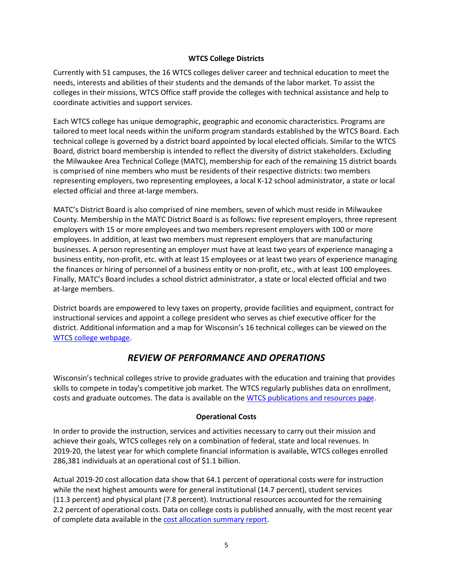#### **WTCS College Districts**

Currently with 51 campuses, the 16 WTCS colleges deliver career and technical education to meet the needs, interests and abilities of their students and the demands of the labor market. To assist the colleges in their missions, WTCS Office staff provide the colleges with technical assistance and help to coordinate activities and support services.

Each WTCS college has unique demographic, geographic and economic characteristics. Programs are tailored to meet local needs within the uniform program standards established by the WTCS Board. Each technical college is governed by a district board appointed by local elected officials. Similar to the WTCS Board, district board membership is intended to reflect the diversity of district stakeholders. Excluding the Milwaukee Area Technical College (MATC), membership for each of the remaining 15 district boards is comprised of nine members who must be residents of their respective districts: two members representing employers, two representing employees, a local K-12 school administrator, a state or local elected official and three at-large members.

MATC's District Board is also comprised of nine members, seven of which must reside in Milwaukee County. Membership in the MATC District Board is as follows: five represent employers, three represent employers with 15 or more employees and two members represent employers with 100 or more employees. In addition, at least two members must represent employers that are manufacturing businesses. A person representing an employer must have at least two years of experience managing a business entity, non-profit, etc. with at least 15 employees or at least two years of experience managing the finances or hiring of personnel of a business entity or non-profit, etc., with at least 100 employees. Finally, MATC's Board includes a school district administrator, a state or local elected official and two at-large members.

District boards are empowered to levy taxes on property, provide facilities and equipment, contract for instructional services and appoint a college president who serves as chief executive officer for the district. Additional information and a map for Wisconsin's 16 technical colleges can be viewed on the [WTCS college webpage.](https://wtcsystem.edu/colleges/)

# *REVIEW OF PERFORMANCE AND OPERATIONS*

Wisconsin's technical colleges strive to provide graduates with the education and training that provides skills to compete in today's competitive job market. The WTCS regularly publishes data on enrollment, costs and graduate outcomes. The data is available on the [WTCS publications and resources page.](https://www.wtcsystem.edu/impact/publications/)

#### **Operational Costs**

In order to provide the instruction, services and activities necessary to carry out their mission and achieve their goals, WTCS colleges rely on a combination of federal, state and local revenues. In 2019-20, the latest year for which complete financial information is available, WTCS colleges enrolled 286,381 individuals at an operational cost of \$1.1 billion.

Actual 2019-20 cost allocation data show that 64.1 percent of operational costs were for instruction while the next highest amounts were for general institutional (14.7 percent), student services (11.3 percent) and physical plant (7.8 percent). Instructional resources accounted for the remaining 2.2 percent of operational costs. Data on college costs is published annually, with the most recent year of complete data available in the [cost allocation summary report.](https://mywtcs.wtcsystem.edu/grants-data-reporting/system-wide-reports/)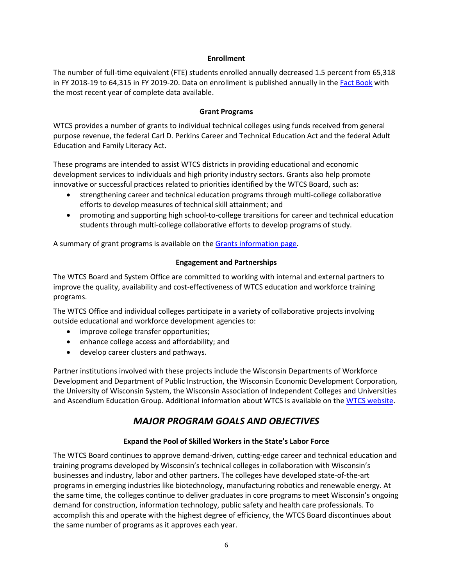#### **Enrollment**

The number of full-time equivalent (FTE) students enrolled annually decreased 1.5 percent from 65,318 in FY 2018-19 to 64,315 in FY 2019-20. Data on enrollment is published annually in the [Fact Book](https://www.wtcsystem.edu/impact/publications/fact-book-student-data/) with the most recent year of complete data available.

#### **Grant Programs**

WTCS provides a number of grants to individual technical colleges using funds received from general purpose revenue, the federal Carl D. Perkins Career and Technical Education Act and the federal Adult Education and Family Literacy Act.

These programs are intended to assist WTCS districts in providing educational and economic development services to individuals and high priority industry sectors. Grants also help promote innovative or successful practices related to priorities identified by the WTCS Board, such as:

- strengthening career and technical education programs through multi-college collaborative efforts to develop measures of technical skill attainment; and
- promoting and supporting high school-to-college transitions for career and technical education students through multi-college collaborative efforts to develop programs of study.

A summary of grant programs is available on the [Grants information page.](https://mywtcs.wtcsystem.edu/grants-data-reporting/grants/)

#### **Engagement and Partnerships**

The WTCS Board and System Office are committed to working with internal and external partners to improve the quality, availability and cost-effectiveness of WTCS education and workforce training programs.

The WTCS Office and individual colleges participate in a variety of collaborative projects involving outside educational and workforce development agencies to:

- improve college transfer opportunities;
- enhance college access and affordability; and
- develop career clusters and pathways.

Partner institutions involved with these projects include the Wisconsin Departments of Workforce Development and Department of Public Instruction, the Wisconsin Economic Development Corporation, the University of Wisconsin System, the Wisconsin Association of Independent Colleges and Universities and Ascendium Education Group. Additional information about WTCS is available on the [WTCS website.](https://www.wtcsystem.edu/)

# *MAJOR PROGRAM GOALS AND OBJECTIVES*

# **Expand the Pool of Skilled Workers in the State's Labor Force**

The WTCS Board continues to approve demand-driven, cutting-edge career and technical education and training programs developed by Wisconsin's technical colleges in collaboration with Wisconsin's businesses and industry, labor and other partners. The colleges have developed state-of-the-art programs in emerging industries like biotechnology, manufacturing robotics and renewable energy. At the same time, the colleges continue to deliver graduates in core programs to meet Wisconsin's ongoing demand for construction, information technology, public safety and health care professionals. To accomplish this and operate with the highest degree of efficiency, the WTCS Board discontinues about the same number of programs as it approves each year.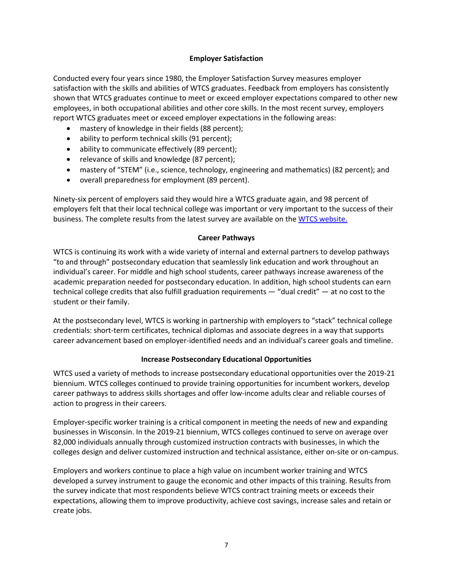#### **Employer Satisfaction**

Conducted every four years since 1980, the Employer Satisfaction Survey measures employer satisfaction with the skills and abilities of WTCS graduates. Feedback from employers has consistently shown that WTCS graduates continue to meet or exceed employer expectations compared to other new employees, in both occupational abilities and other core skills. In the most recent survey, employers report WTCS graduates meet or exceed employer expectations in the following areas:

- mastery of knowledge in their fields (88 percent);
- ability to perform technical skills (91 percent);
- ability to communicate effectively (89 percent);
- relevance of skills and knowledge (87 percent);
- mastery of "STEM" (i.e., science, technology, engineering and mathematics) (82 percent); and
- overall preparedness for employment (89 percent).

Ninety-six percent of employers said they would hire a WTCS graduate again, and 98 percent of employers felt that their local technical college was important or very important to the success of their business. The complete results from the latest survey are available on the [WTCS website.](https://www.wtcsystem.edu/impact/publications/employer-satisfaction/) 

#### **Career Pathways**

WTCS is continuing its work with a wide variety of internal and external partners to develop pathways "to and through" postsecondary education that seamlessly link education and work throughout an individual's career. For middle and high school students, career pathways increase awareness of the academic preparation needed for postsecondary education. In addition, high school students can earn technical college credits that also fulfill graduation requirements — "dual credit" — at no cost to the student or their family.

At the postsecondary level, WTCS is working in partnership with employers to "stack" technical college credentials: short-term certificates, technical diplomas and associate degrees in a way that supports career advancement based on employer-identified needs and an individual's career goals and timeline.

#### **Increase Postsecondary Educational Opportunities**

WTCS used a variety of methods to increase postsecondary educational opportunities over the 2019-21 biennium. WTCS colleges continued to provide training opportunities for incumbent workers, develop career pathways to address skills shortages and offer low-income adults clear and reliable courses of action to progress in their careers.

Employer-specific worker training is a critical component in meeting the needs of new and expanding businesses in Wisconsin. In the 2019-21 biennium, WTCS colleges continued to serve on average over 82,000 individuals annually through customized instruction contracts with businesses, in which the colleges design and deliver customized instruction and technical assistance, either on-site or on-campus.

Employers and workers continue to place a high value on incumbent worker training and WTCS developed a survey instrument to gauge the economic and other impacts of this training. Results from the survey indicate that most respondents believe WTCS contract training meets or exceeds their expectations, allowing them to improve productivity, achieve cost savings, increase sales and retain or create jobs.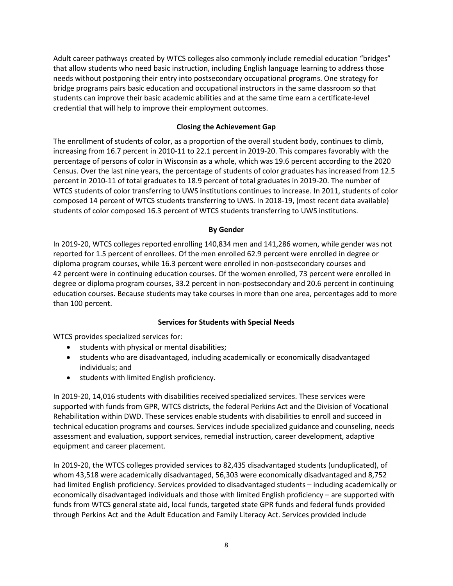Adult career pathways created by WTCS colleges also commonly include remedial education "bridges" that allow students who need basic instruction, including English language learning to address those needs without postponing their entry into postsecondary occupational programs. One strategy for bridge programs pairs basic education and occupational instructors in the same classroom so that students can improve their basic academic abilities and at the same time earn a certificate-level credential that will help to improve their employment outcomes.

## **Closing the Achievement Gap**

The enrollment of students of color, as a proportion of the overall student body, continues to climb, increasing from 16.7 percent in 2010-11 to 22.1 percent in 2019-20. This compares favorably with the percentage of persons of color in Wisconsin as a whole, which was 19.6 percent according to the 2020 Census. Over the last nine years, the percentage of students of color graduates has increased from 12.5 percent in 2010-11 of total graduates to 18.9 percent of total graduates in 2019-20. The number of WTCS students of color transferring to UWS institutions continues to increase. In 2011, students of color composed 14 percent of WTCS students transferring to UWS. In 2018-19, (most recent data available) students of color composed 16.3 percent of WTCS students transferring to UWS institutions.

#### **By Gender**

In 2019-20, WTCS colleges reported enrolling 140,834 men and 141,286 women, while gender was not reported for 1.5 percent of enrollees. Of the men enrolled 62.9 percent were enrolled in degree or diploma program courses, while 16.3 percent were enrolled in non-postsecondary courses and 42 percent were in continuing education courses. Of the women enrolled, 73 percent were enrolled in degree or diploma program courses, 33.2 percent in non-postsecondary and 20.6 percent in continuing education courses. Because students may take courses in more than one area, percentages add to more than 100 percent.

# **Services for Students with Special Needs**

WTCS provides specialized services for:

- students with physical or mental disabilities;
- students who are disadvantaged, including academically or economically disadvantaged individuals; and
- students with limited English proficiency.

In 2019-20, 14,016 students with disabilities received specialized services. These services were supported with funds from GPR, WTCS districts, the federal Perkins Act and the Division of Vocational Rehabilitation within DWD. These services enable students with disabilities to enroll and succeed in technical education programs and courses. Services include specialized guidance and counseling, needs assessment and evaluation, support services, remedial instruction, career development, adaptive equipment and career placement.

In 2019-20, the WTCS colleges provided services to 82,435 disadvantaged students (unduplicated), of whom 43,518 were academically disadvantaged, 56,303 were economically disadvantaged and 8,752 had limited English proficiency. Services provided to disadvantaged students – including academically or economically disadvantaged individuals and those with limited English proficiency – are supported with funds from WTCS general state aid, local funds, targeted state GPR funds and federal funds provided through Perkins Act and the Adult Education and Family Literacy Act. Services provided include